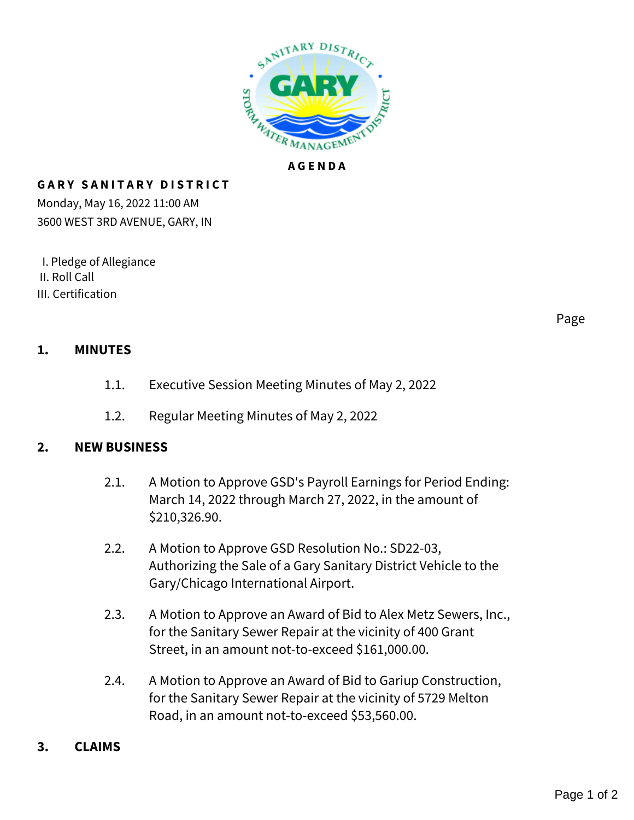

## **GARY SANITARY DISTRICT**

Monday, May 16, 2022 11:00 AM 3600 WEST 3RD AVENUE, GARY, IN

 I. Pledge of Allegiance II. Roll Call III. Certification

Page

## **1. MINUTES**

- 1.1. Executive Session Meeting Minutes of May 2, 2022
- 1.2. Regular Meeting Minutes of May 2, 2022

## **2. NEW BUSINESS**

- 2.1. A Motion to Approve GSD's Payroll Earnings for Period Ending: March 14, 2022 through March 27, 2022, in the amount of \$210,326.90.
- 2.2. A Motion to Approve GSD Resolution No.: SD22-03, Authorizing the Sale of a Gary Sanitary District Vehicle to the Gary/Chicago International Airport.
- 2.3. A Motion to Approve an Award of Bid to Alex Metz Sewers, Inc., for the Sanitary Sewer Repair at the vicinity of 400 Grant Street, in an amount not-to-exceed \$161,000.00.
- 2.4. A Motion to Approve an Award of Bid to Gariup Construction, for the Sanitary Sewer Repair at the vicinity of 5729 Melton Road, in an amount not-to-exceed \$53,560.00.
- **3. CLAIMS**